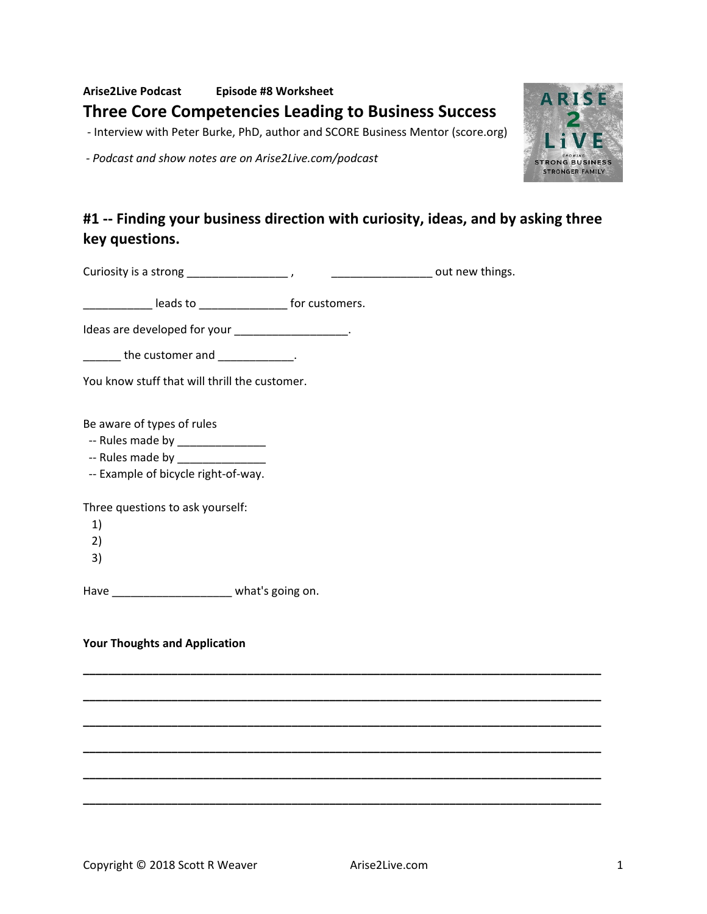**Arise2Live Podcast Episode #8 Worksheet Three Core Competencies Leading to Business Success**

- Interview with Peter Burke, PhD, author and SCORE Business Mentor (score.org)

*- Podcast and show notes are on Arise2Live.com/podcast*

# **#1 -- Finding your business direction with curiosity, ideas, and by asking three key questions.**

**\_\_\_\_\_\_\_\_\_\_\_\_\_\_\_\_\_\_\_\_\_\_\_\_\_\_\_\_\_\_\_\_\_\_\_\_\_\_\_\_\_\_\_\_\_\_\_\_\_\_\_\_\_\_\_\_\_\_\_\_\_\_\_\_\_\_\_\_\_\_\_\_\_\_\_\_\_\_\_\_\_\_** 

**\_\_\_\_\_\_\_\_\_\_\_\_\_\_\_\_\_\_\_\_\_\_\_\_\_\_\_\_\_\_\_\_\_\_\_\_\_\_\_\_\_\_\_\_\_\_\_\_\_\_\_\_\_\_\_\_\_\_\_\_\_\_\_\_\_\_\_\_\_\_\_\_\_\_\_\_\_\_\_\_\_\_** 

**\_\_\_\_\_\_\_\_\_\_\_\_\_\_\_\_\_\_\_\_\_\_\_\_\_\_\_\_\_\_\_\_\_\_\_\_\_\_\_\_\_\_\_\_\_\_\_\_\_\_\_\_\_\_\_\_\_\_\_\_\_\_\_\_\_\_\_\_\_\_\_\_\_\_\_\_\_\_\_\_\_\_** 

**\_\_\_\_\_\_\_\_\_\_\_\_\_\_\_\_\_\_\_\_\_\_\_\_\_\_\_\_\_\_\_\_\_\_\_\_\_\_\_\_\_\_\_\_\_\_\_\_\_\_\_\_\_\_\_\_\_\_\_\_\_\_\_\_\_\_\_\_\_\_\_\_\_\_\_\_\_\_\_\_\_\_** 

**\_\_\_\_\_\_\_\_\_\_\_\_\_\_\_\_\_\_\_\_\_\_\_\_\_\_\_\_\_\_\_\_\_\_\_\_\_\_\_\_\_\_\_\_\_\_\_\_\_\_\_\_\_\_\_\_\_\_\_\_\_\_\_\_\_\_\_\_\_\_\_\_\_\_\_\_\_\_\_\_\_\_** 

**\_\_\_\_\_\_\_\_\_\_\_\_\_\_\_\_\_\_\_\_\_\_\_\_\_\_\_\_\_\_\_\_\_\_\_\_\_\_\_\_\_\_\_\_\_\_\_\_\_\_\_\_\_\_\_\_\_\_\_\_\_\_\_\_\_\_\_\_\_\_\_\_\_\_\_\_\_\_\_\_\_\_** 

Curiosity is a strong \_\_\_\_\_\_\_\_\_\_\_\_\_\_\_\_ , \_\_\_\_\_\_\_\_\_\_\_\_\_\_\_\_ out new things.

leads to entitled the state of the for customers.

Ideas are developed for your \_\_\_\_\_\_\_\_\_\_\_\_\_\_\_\_\_\_\_.

 $\blacksquare$  the customer and  $\blacksquare$ 

You know stuff that will thrill the customer.

Be aware of types of rules

- -- Rules made by \_\_\_\_\_\_\_\_\_\_\_\_\_\_
- -- Rules made by
- -- Example of bicycle right-of-way.

Three questions to ask yourself:

- 1)
	-
- 2)
- 3)

Have **Have Have Muller** what's going on.

#### **Your Thoughts and Application**